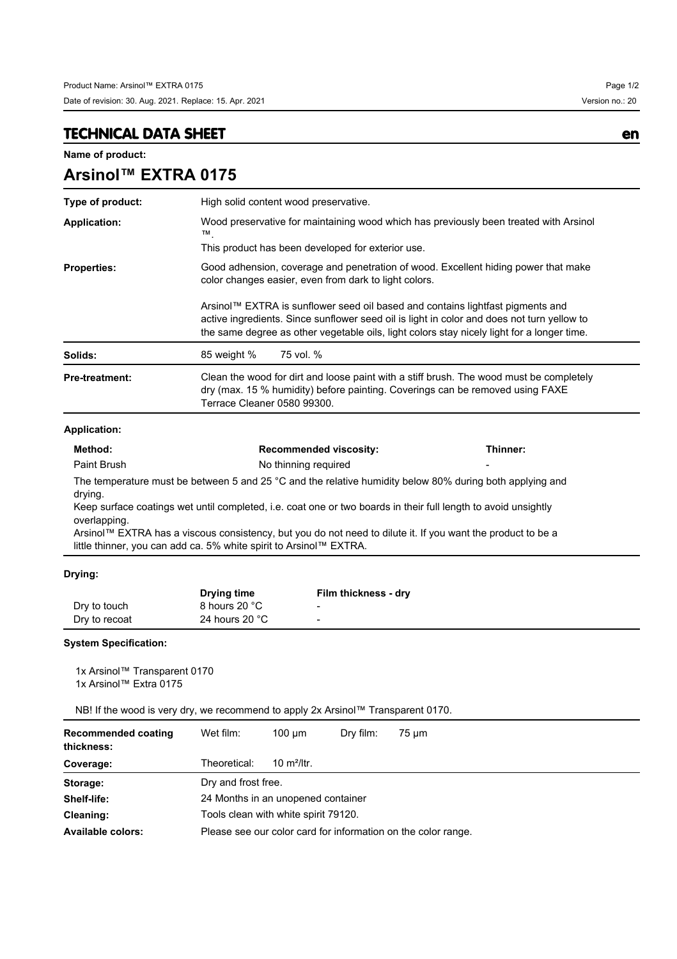## **TECHNICAL DATA SHEET en**

**Arsinol™ EXTRA 0175**

**Name of product:**

| Type of product:      | High solid content wood preservative.                                                                                                                                                                                                                                      |  |  |  |  |
|-----------------------|----------------------------------------------------------------------------------------------------------------------------------------------------------------------------------------------------------------------------------------------------------------------------|--|--|--|--|
| Application:          | Wood preservative for maintaining wood which has previously been treated with Arsinol<br>TM                                                                                                                                                                                |  |  |  |  |
|                       | This product has been developed for exterior use.                                                                                                                                                                                                                          |  |  |  |  |
| <b>Properties:</b>    | Good adhension, coverage and penetration of wood. Excellent hiding power that make<br>color changes easier, even from dark to light colors.                                                                                                                                |  |  |  |  |
|                       | Arsinol™ EXTRA is sunflower seed oil based and contains lightfast pigments and<br>active ingredients. Since sunflower seed oil is light in color and does not turn yellow to<br>the same degree as other vegetable oils, light colors stay nicely light for a longer time. |  |  |  |  |
| Solids:               | 75 vol. %<br>85 weight %                                                                                                                                                                                                                                                   |  |  |  |  |
| <b>Pre-treatment:</b> | Clean the wood for dirt and loose paint with a stiff brush. The wood must be completely<br>dry (max. 15 % humidity) before painting. Coverings can be removed using FAXE<br>Terrace Cleaner 0580 99300.                                                                    |  |  |  |  |

| Method:      | <b>Recommended viscosity:</b>                                                                                  | Thinner: |
|--------------|----------------------------------------------------------------------------------------------------------------|----------|
| Paint Brush  | No thinning required                                                                                           |          |
| drying.      | The temperature must be between 5 and 25 °C and the relative humidity below 80% during both applying and       |          |
| overlapping. | Keep surface coatings wet until completed, i.e. coat one or two boards in their full length to avoid unsightly |          |

Arsinol™ EXTRA has a viscous consistency, but you do not need to dilute it. If you want the product to be a little thinner, you can add ca. 5% white spirit to Arsinol™ EXTRA.

## **Drying:**

|               | Drying time              | Film thickness - dry     |
|---------------|--------------------------|--------------------------|
| Dry to touch  | 8 hours 20 °C            | $\overline{\phantom{a}}$ |
| Dry to recoat | 24 hours 20 $^{\circ}$ C | $\overline{\phantom{a}}$ |

## **System Specification:**

|                        | 1x Arsinol™ Transparent 0170 |
|------------------------|------------------------------|
| 1x Arsinol™ Extra 0175 |                              |

NB! If the wood is very dry, we recommend to apply 2x Arsinol™ Transparent 0170.

| <b>Recommended coating</b><br>thickness: | Wet film:                                                     | $100 \mu m$    | Drv film: | 75 µm |
|------------------------------------------|---------------------------------------------------------------|----------------|-----------|-------|
| Coverage:                                | Theoretical:                                                  | 10 $m^2$ /ltr. |           |       |
| Storage:                                 | Dry and frost free.                                           |                |           |       |
| Shelf-life:                              | 24 Months in an unopened container                            |                |           |       |
| Cleaning:                                | Tools clean with white spirit 79120.                          |                |           |       |
| <b>Available colors:</b>                 | Please see our color card for information on the color range. |                |           |       |